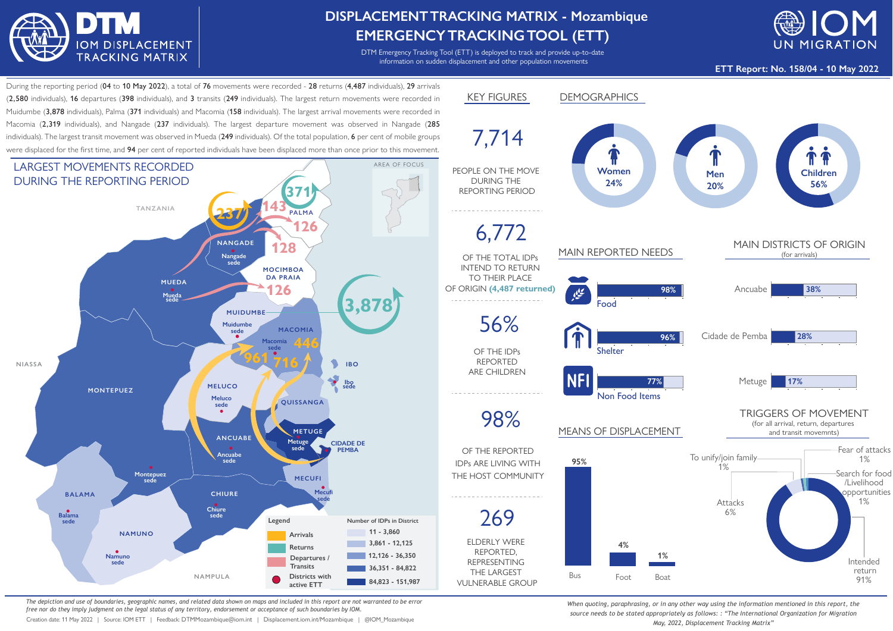

## **DISPLACEMENTTRACKING MATRIX - Mozambique EMERGENCYTRACKINGTOOL (ETT)**

DTM Emergency Tracking Tool (ETT) is deployed to track and provide up-to-date information on sudden displacement and other population movements



**ETT Report: No. 158/04 - 10 May 2022**

During the reporting period (04 to 10 May 2022), a total of 76 movements were recorded - 28 returns (4.487 individuals). 29 arrivals (2,580 individuals), 16 departures (398 individuals), and 3 transits (249 individuals). The largest return movements were recorded in Muidumbe (3.878 individuals). Palma (371 individuals) and Macomia (158 individuals). The largest arrival movements were recorded in Macomia (2,319 individuals), and Nangade (237 individuals). The largest departure movement was observed in Nangade (285 individuals). The largest transit movement was observed in Mueda (249 individuals). Of the total population, 6 per cent of mobile groups were displaced for the first time, and 94 per cent of reported individuals have been displaced more than once prior to this movement.



*The depiction and use of boundaries, geographic names, and related data shown on maps and included in this report are not warranted to be error free nor do they imply judgment on the legal status of any territory, endorsement or acceptance of such boundaries by IOM.*

Creation date: 11 May 2022 | Source: IOM ETT | Feedback: DTMMozambique@iom.int | Displacement.iom.int/Mozambique | @IOM\_Mozambique



*When quoting, paraphrasing, or in any other way using the information mentioned in this report, the source needs to be stated appropriately as follows: : "The International Organization for Migration May, 2022, Displacement Tracking Matrix"*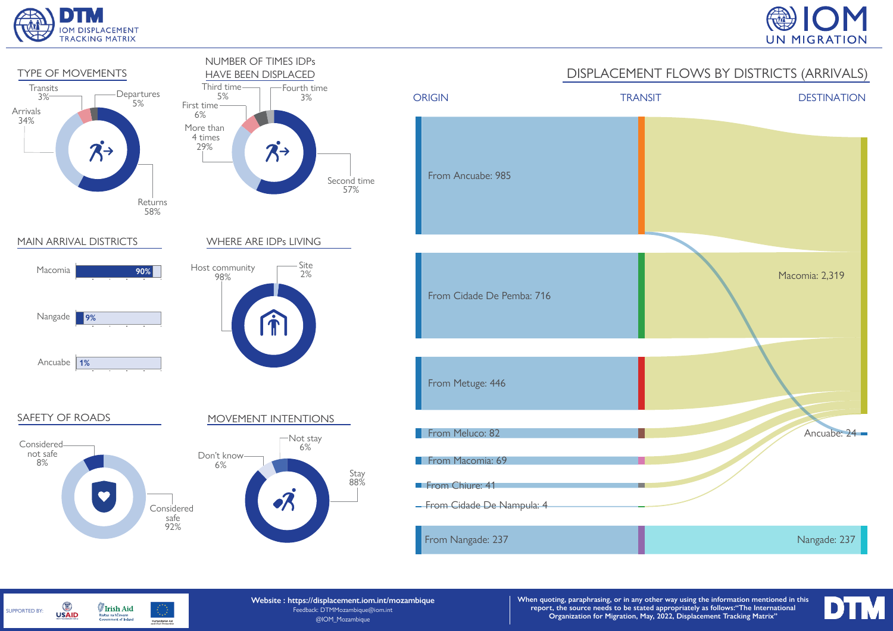

SUPPORTED BY:

G

**USAID** 

**Irish Aid** 

Rialtas na hÉireann<br>Government of Ireland

Humanitarian Aid<br>and Civil Protection





**Website : https://displacement.iom.int/mozambique** Feedback: DTMMozambique@iom.int @IOM\_Mozambique

**When quoting, paraphrasing, or in any other way using the information mentioned in this report, the source needs to be stated appropriately as follows:"The International Organization for Migration, May, 2022, Displacement Tracking Matrix"**